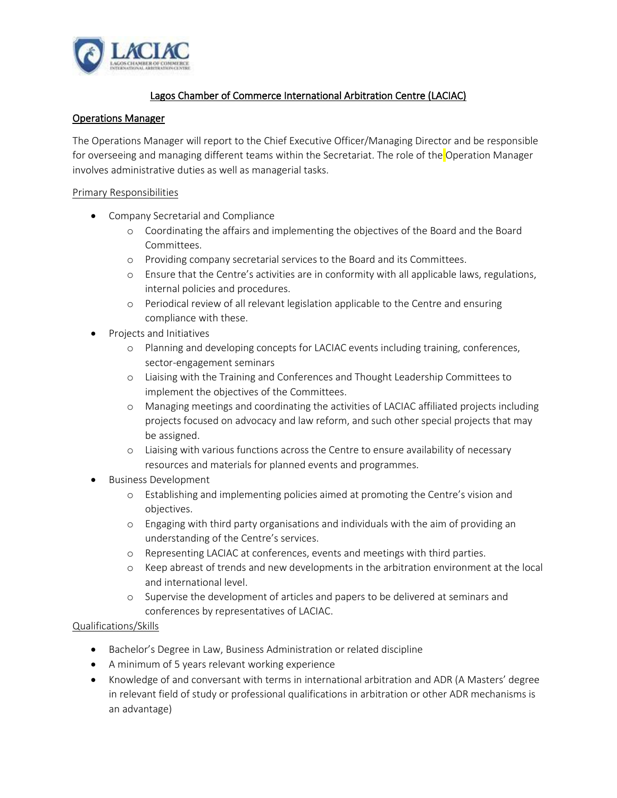

## Lagos Chamber of Commerce International Arbitration Centre (LACIAC)

## Operations Manager

The Operations Manager will report to the Chief Executive Officer/Managing Director and be responsible for overseeing and managing different teams within the Secretariat. The role of the Operation Manager involves administrative duties as well as managerial tasks.

## Primary Responsibilities

- Company Secretarial and Compliance
	- o Coordinating the affairs and implementing the objectives of the Board and the Board Committees.
	- o Providing company secretarial services to the Board and its Committees.
	- o Ensure that the Centre's activities are in conformity with all applicable laws, regulations, internal policies and procedures.
	- o Periodical review of all relevant legislation applicable to the Centre and ensuring compliance with these.
- Projects and Initiatives
	- o Planning and developing concepts for LACIAC events including training, conferences, sector-engagement seminars
	- o Liaising with the Training and Conferences and Thought Leadership Committees to implement the objectives of the Committees.
	- o Managing meetings and coordinating the activities of LACIAC affiliated projects including projects focused on advocacy and law reform, and such other special projects that may be assigned.
	- o Liaising with various functions across the Centre to ensure availability of necessary resources and materials for planned events and programmes.
- Business Development
	- o Establishing and implementing policies aimed at promoting the Centre's vision and objectives.
	- o Engaging with third party organisations and individuals with the aim of providing an understanding of the Centre's services.
	- o Representing LACIAC at conferences, events and meetings with third parties.
	- o Keep abreast of trends and new developments in the arbitration environment at the local and international level.
	- o Supervise the development of articles and papers to be delivered at seminars and conferences by representatives of LACIAC.

## Qualifications/Skills

- Bachelor's Degree in Law, Business Administration or related discipline
- A minimum of 5 years relevant working experience
- Knowledge of and conversant with terms in international arbitration and ADR (A Masters' degree in relevant field of study or professional qualifications in arbitration or other ADR mechanisms is an advantage)